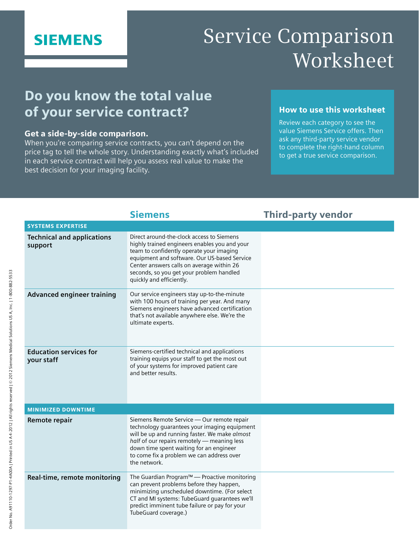## **SIEMENS**

# Service Comparison Worksheet

## Do you know the total value of your service contract?

#### Get a side-by-side comparison.

When you're comparing service contracts, you can't depend on the price tag to tell the whole story. Understanding exactly what's included in each service contract will help you assess real value to make the best decision for your imaging facility.

#### How to use this worksheet

Review each category to see the value Siemens Service offers. Then ask any third-party service vendor to complete the right-hand column to get a true service comparison.

|                                              | <b>Siemens</b>                                                                                                                                                                                                                                                                                              | <b>Third-party vendor</b> |  |
|----------------------------------------------|-------------------------------------------------------------------------------------------------------------------------------------------------------------------------------------------------------------------------------------------------------------------------------------------------------------|---------------------------|--|
| <b>SYSTEMS EXPERTISE</b>                     |                                                                                                                                                                                                                                                                                                             |                           |  |
| <b>Technical and applications</b><br>support | Direct around-the-clock access to Siemens<br>highly trained engineers enables you and your<br>team to confidently operate your imaging<br>equipment and software. Our US-based Service<br>Center answers calls on average within 26<br>seconds, so you get your problem handled<br>quickly and efficiently. |                           |  |
| <b>Advanced engineer training</b>            | Our service engineers stay up-to-the-minute<br>with 100 hours of training per year. And many<br>Siemens engineers have advanced certification<br>that's not available anywhere else. We're the<br>ultimate experts.                                                                                         |                           |  |
| <b>Education services for</b><br>your staff  | Siemens-certified technical and applications<br>training equips your staff to get the most out<br>of your systems for improved patient care<br>and better results.                                                                                                                                          |                           |  |
| <b>MINIMIZED DOWNTIME</b>                    |                                                                                                                                                                                                                                                                                                             |                           |  |
| Remote repair                                | Siemens Remote Service - Our remote repair<br>technology guarantees your imaging equipment<br>will be up and running faster. We make almost<br>half of our repairs remotely - meaning less<br>down time spent waiting for an engineer<br>to come fix a problem we can address over<br>the network.          |                           |  |
| Real-time, remote monitoring                 | The Guardian Program™ — Proactive monitoring<br>can prevent problems before they happen,<br>minimizing unscheduled downtime. (For select<br>CT and MI systems: TubeGuard guarantees we'll<br>predict imminent tube failure or pay for your<br>TubeGuard coverage.)                                          |                           |  |